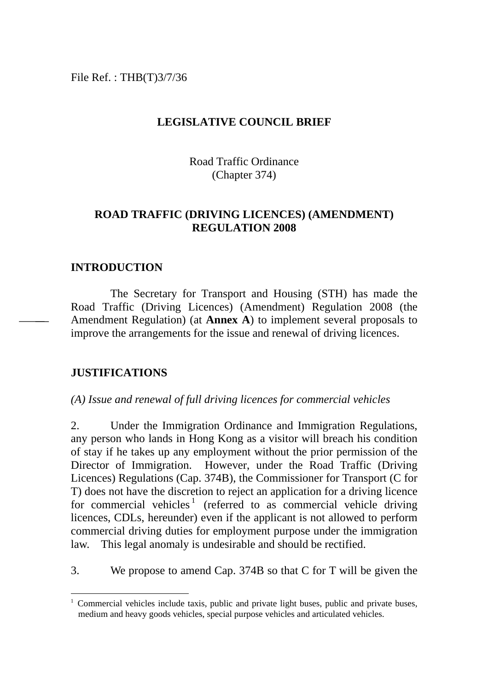File Ref. : THB(T)3/7/36

### **LEGISLATIVE COUNCIL BRIEF**

Road Traffic Ordinance (Chapter 374)

## **ROAD TRAFFIC (DRIVING LICENCES) (AMENDMENT) REGULATION 2008**

## **INTRODUCTION**

The Secretary for Transport and Housing (STH) has made the Road Traffic (Driving Licences) (Amendment) Regulation 2008 (the Amendment Regulation) (at **Annex A**) to implement several proposals to improve the arrangements for the issue and renewal of driving licences.

### **JUSTIFICATIONS**

 $\overline{a}$ 

#### *(A) Issue and renewal of full driving licences for commercial vehicles*

2. Under the Immigration Ordinance and Immigration Regulations, any person who lands in Hong Kong as a visitor will breach his condition of stay if he takes up any employment without the prior permission of the Director of Immigration. However, under the Road Traffic (Driving Licences) Regulations (Cap. 374B), the Commissioner for Transport (C for T) does not have the discretion to reject an application for a driving licence for commercial vehicles<sup>[1](#page-0-0)</sup> (referred to as commercial vehicle driving licences, CDLs, hereunder) even if the applicant is not allowed to perform commercial driving duties for employment purpose under the immigration law. This legal anomaly is undesirable and should be rectified.

3. We propose to amend Cap. 374B so that C for T will be given the

<span id="page-0-0"></span><sup>&</sup>lt;sup>1</sup> Commercial vehicles include taxis, public and private light buses, public and private buses, medium and heavy goods vehicles, special purpose vehicles and articulated vehicles.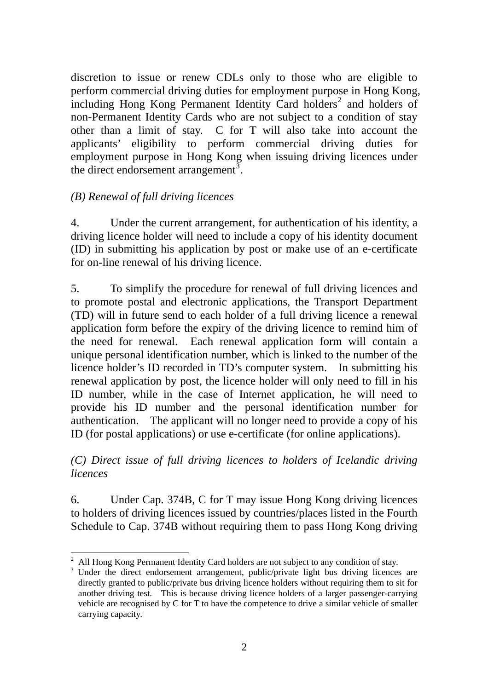discretion to issue or renew CDLs only to those who are eligible to perform commercial driving duties for employment purpose in Hong Kong,  $\frac{1}{2}$  $\frac{1}{2}$  $\frac{1}{2}$  including Hong Kong Permanent Identity Card holders<sup>2</sup> and holders of non-Permanent Identity Cards who are not subject to a condition of stay other than a limit of stay. C for T will also take into account the applicants' eligibility to perform commercial driving duties for employment purpose in Hong Kong when issuing driving licences under the direct endorsement arrangement<sup>[3](#page-1-1)</sup>.

## *(B) Renewal of full driving licences*

4. Under the current arrangement, for authentication of his identity, a driving licence holder will need to include a copy of his identity document (ID) in submitting his application by post or make use of an e-certificate for on-line renewal of his driving licence.

5. To simplify the procedure for renewal of full driving licences and to promote postal and electronic applications, the Transport Department (TD) will in future send to each holder of a full driving licence a renewal application form before the expiry of the driving licence to remind him of the need for renewal. Each renewal application form will contain a unique personal identification number, which is linked to the number of the licence holder's ID recorded in TD's computer system. In submitting his renewal application by post, the licence holder will only need to fill in his ID number, while in the case of Internet application, he will need to provide his ID number and the personal identification number for authentication. The applicant will no longer need to provide a copy of his ID (for postal applications) or use e-certificate (for online applications).

*(C) Direct issue of full driving licences to holders of Icelandic driving licences* 

6. Under Cap. 374B, C for T may issue Hong Kong driving licences to holders of driving licences issued by countries/places listed in the Fourth Schedule to Cap. 374B without requiring them to pass Hong Kong driving

<span id="page-1-0"></span> $\overline{a}$ 2 All Hong Kong Permanent Identity Card holders are not subject to any condition of stay.

<span id="page-1-1"></span>Under the direct endorsement arrangement, public/private light bus driving licences are directly granted to public/private bus driving licence holders without requiring them to sit for another driving test. This is because driving licence holders of a larger passenger-carrying vehicle are recognised by C for T to have the competence to drive a similar vehicle of smaller carrying capacity.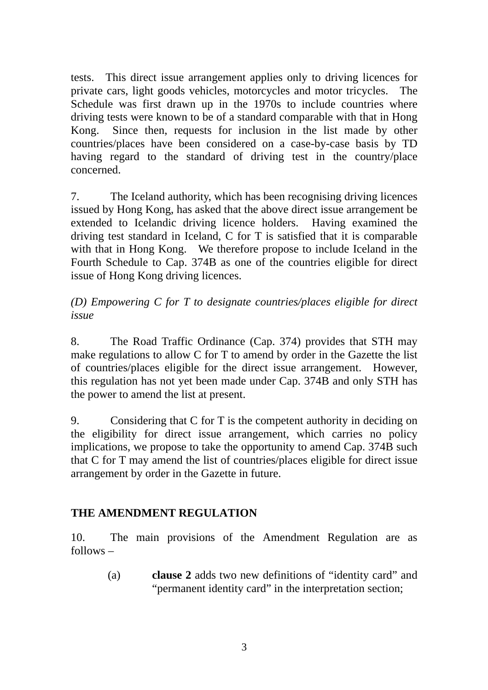tests. This direct issue arrangement applies only to driving licences for private cars, light goods vehicles, motorcycles and motor tricycles. The Schedule was first drawn up in the 1970s to include countries where driving tests were known to be of a standard comparable with that in Hong Kong. Since then, requests for inclusion in the list made by other countries/places have been considered on a case-by-case basis by TD having regard to the standard of driving test in the country/place concerned.

7. The Iceland authority, which has been recognising driving licences issued by Hong Kong, has asked that the above direct issue arrangement be extended to Icelandic driving licence holders. Having examined the driving test standard in Iceland, C for T is satisfied that it is comparable with that in Hong Kong. We therefore propose to include Iceland in the Fourth Schedule to Cap. 374B as one of the countries eligible for direct issue of Hong Kong driving licences.

# *(D) Empowering C for T to designate countries/places eligible for direct issue*

8. The Road Traffic Ordinance (Cap. 374) provides that STH may make regulations to allow C for T to amend by order in the Gazette the list of countries/places eligible for the direct issue arrangement. However, this regulation has not yet been made under Cap. 374B and only STH has the power to amend the list at present.

9. Considering that C for T is the competent authority in deciding on the eligibility for direct issue arrangement, which carries no policy implications, we propose to take the opportunity to amend Cap. 374B such that C for T may amend the list of countries/places eligible for direct issue arrangement by order in the Gazette in future.

## **THE AMENDMENT REGULATION**

10. The main provisions of the Amendment Regulation are as follows –

> (a) **clause 2** adds two new definitions of "identity card" and "permanent identity card" in the interpretation section;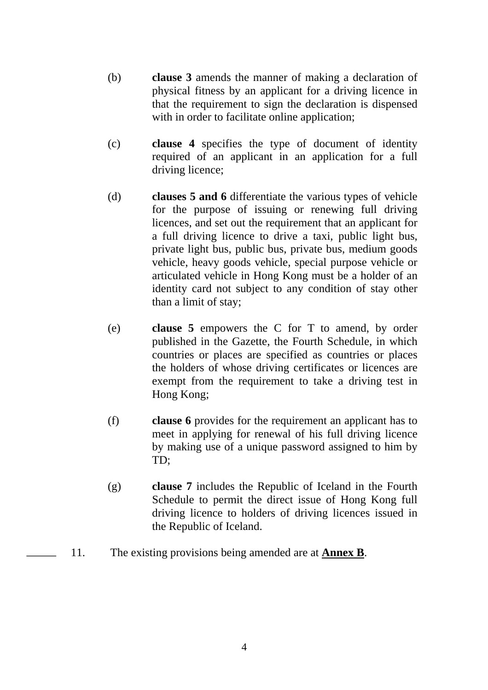- (b) **clause 3** amends the manner of making a declaration of physical fitness by an applicant for a driving licence in that the requirement to sign the declaration is dispensed with in order to facilitate online application;
- (c) **clause 4** specifies the type of document of identity required of an applicant in an application for a full driving licence;
- (d) **clauses 5 and 6** differentiate the various types of vehicle for the purpose of issuing or renewing full driving licences, and set out the requirement that an applicant for a full driving licence to drive a taxi, public light bus, private light bus, public bus, private bus, medium goods vehicle, heavy goods vehicle, special purpose vehicle or articulated vehicle in Hong Kong must be a holder of an identity card not subject to any condition of stay other than a limit of stay;
- (e) **clause 5** empowers the C for T to amend, by order published in the Gazette, the Fourth Schedule, in which countries or places are specified as countries or places the holders of whose driving certificates or licences are exempt from the requirement to take a driving test in Hong Kong;
- (f) **clause 6** provides for the requirement an applicant has to meet in applying for renewal of his full driving licence by making use of a unique password assigned to him by TD;
- (g) **clause 7** includes the Republic of Iceland in the Fourth Schedule to permit the direct issue of Hong Kong full driving licence to holders of driving licences issued in the Republic of Iceland.
- 11. The existing provisions being amended are at **Annex B**.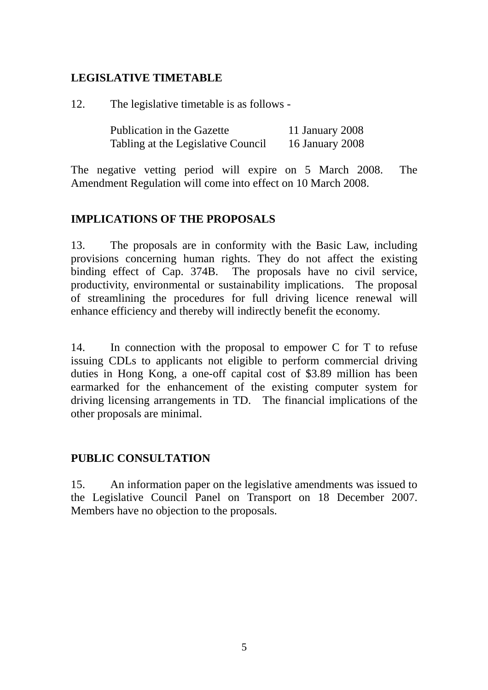## **LEGISLATIVE TIMETABLE**

12. The legislative timetable is as follows -

| Publication in the Gazette         | 11 January 2008 |
|------------------------------------|-----------------|
| Tabling at the Legislative Council | 16 January 2008 |

The negative vetting period will expire on 5 March 2008. The Amendment Regulation will come into effect on 10 March 2008.

## **IMPLICATIONS OF THE PROPOSALS**

13. The proposals are in conformity with the Basic Law, including provisions concerning human rights. They do not affect the existing binding effect of Cap. 374B. The proposals have no civil service, productivity, environmental or sustainability implications. The proposal of streamlining the procedures for full driving licence renewal will enhance efficiency and thereby will indirectly benefit the economy.

14. In connection with the proposal to empower C for T to refuse issuing CDLs to applicants not eligible to perform commercial driving duties in Hong Kong, a one-off capital cost of \$3.89 million has been earmarked for the enhancement of the existing computer system for driving licensing arrangements in TD. The financial implications of the other proposals are minimal.

## **PUBLIC CONSULTATION**

15. An information paper on the legislative amendments was issued to the Legislative Council Panel on Transport on 18 December 2007. Members have no objection to the proposals.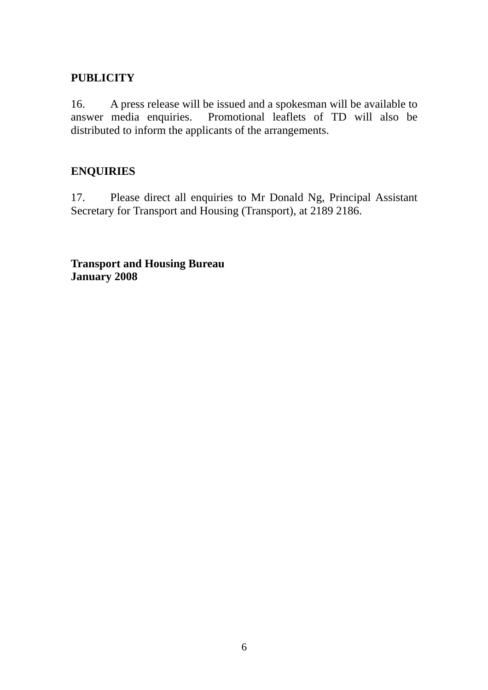## **PUBLICITY**

16. A press release will be issued and a spokesman will be available to answer media enquiries. Promotional leaflets of TD will also be distributed to inform the applicants of the arrangements.

## **ENQUIRIES**

17. Please direct all enquiries to Mr Donald Ng, Principal Assistant Secretary for Transport and Housing (Transport), at 2189 2186.

**Transport and Housing Bureau January 2008**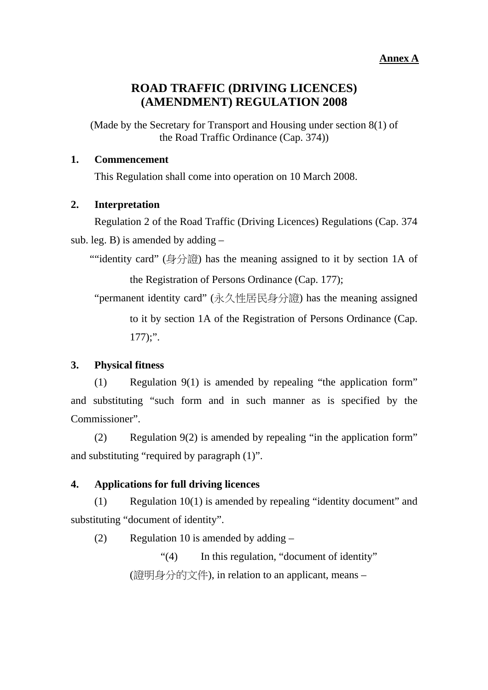#### **Annex A**

## **ROAD TRAFFIC (DRIVING LICENCES) (AMENDMENT) REGULATION 2008**

(Made by the Secretary for Transport and Housing under section 8(1) of the Road Traffic Ordinance (Cap. 374))

#### **1. Commencement**

This Regulation shall come into operation on 10 March 2008.

#### **2. Interpretation**

Regulation 2 of the Road Traffic (Driving Licences) Regulations (Cap. 374 sub. leg. B) is amended by adding  $-$ 

""identity card" (身分證) has the meaning assigned to it by section 1A of the Registration of Persons Ordinance (Cap. 177);

"permanent identity card" (永久性居民身分證) has the meaning assigned to it by section 1A of the Registration of Persons Ordinance (Cap.  $177$ ;".

#### **3. Physical fitness**

(1) Regulation 9(1) is amended by repealing "the application form" and substituting "such form and in such manner as is specified by the Commissioner".

(2) Regulation 9(2) is amended by repealing "in the application form" and substituting "required by paragraph (1)".

#### **4. Applications for full driving licences**

(1) Regulation 10(1) is amended by repealing "identity document" and substituting "document of identity".

(2) Regulation 10 is amended by adding –

"(4) In this regulation, "document of identity" (證明身分的文件), in relation to an applicant, means –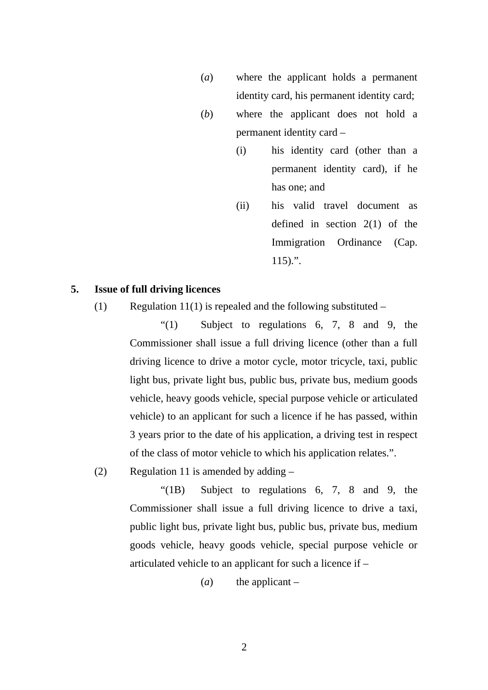- (*a*) where the applicant holds a permanent identity card, his permanent identity card;
- (*b*) where the applicant does not hold a permanent identity card –
	- (i) his identity card (other than a permanent identity card), if he has one; and
	- (ii) his valid travel document as defined in section 2(1) of the Immigration Ordinance (Cap.  $115$ ).".

#### **5. Issue of full driving licences**

(1) Regulation 11(1) is repealed and the following substituted  $-$ 

"(1) Subject to regulations 6, 7, 8 and 9, the Commissioner shall issue a full driving licence (other than a full driving licence to drive a motor cycle, motor tricycle, taxi, public light bus, private light bus, public bus, private bus, medium goods vehicle, heavy goods vehicle, special purpose vehicle or articulated vehicle) to an applicant for such a licence if he has passed, within 3 years prior to the date of his application, a driving test in respect of the class of motor vehicle to which his application relates.".

(2) Regulation 11 is amended by adding –

"(1B) Subject to regulations 6, 7, 8 and 9, the Commissioner shall issue a full driving licence to drive a taxi, public light bus, private light bus, public bus, private bus, medium goods vehicle, heavy goods vehicle, special purpose vehicle or articulated vehicle to an applicant for such a licence if –

 $(a)$  the applicant –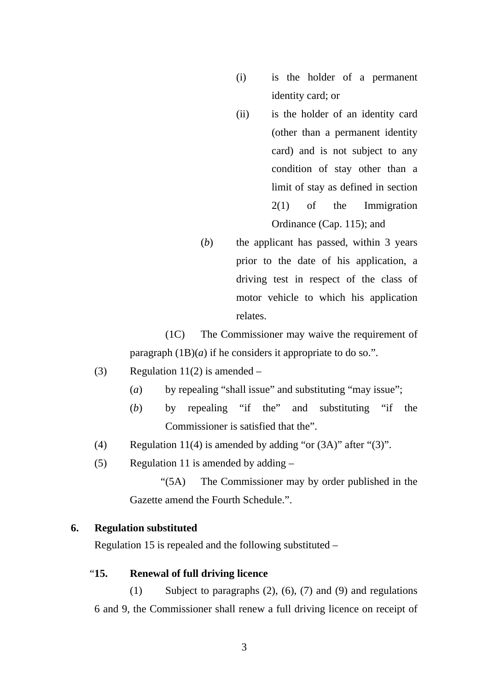- (i) is the holder of a permanent identity card; or
- (ii) is the holder of an identity card (other than a permanent identity card) and is not subject to any condition of stay other than a limit of stay as defined in section 2(1) of the Immigration Ordinance (Cap. 115); and
- (*b*) the applicant has passed, within 3 years prior to the date of his application, a driving test in respect of the class of motor vehicle to which his application relates.

(1C) The Commissioner may waive the requirement of paragraph  $(1B)(a)$  if he considers it appropriate to do so.".

- (3) Regulation 11(2) is amended  $-$ 
	- (*a*) by repealing "shall issue" and substituting "may issue";
	- (*b*) by repealing "if the" and substituting "if the Commissioner is satisfied that the".
- (4) Regulation 11(4) is amended by adding "or (3A)" after "(3)".
- (5) Regulation 11 is amended by adding –

"(5A) The Commissioner may by order published in the Gazette amend the Fourth Schedule.".

#### **6. Regulation substituted**

Regulation 15 is repealed and the following substituted –

#### "**15. Renewal of full driving licence**

(1) Subject to paragraphs (2), (6), (7) and (9) and regulations 6 and 9, the Commissioner shall renew a full driving licence on receipt of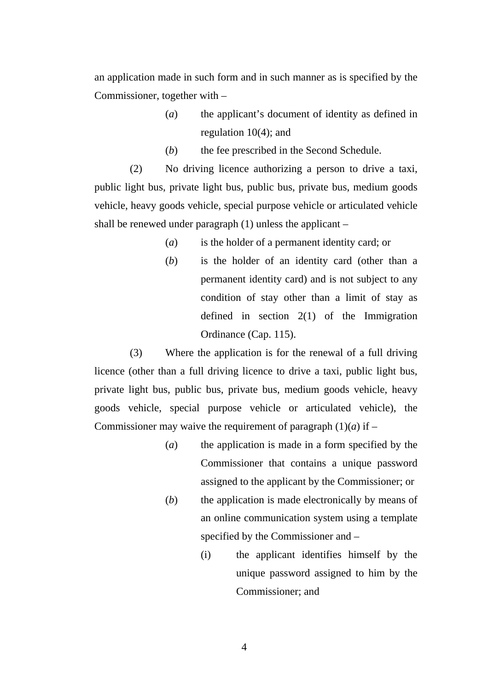an application made in such form and in such manner as is specified by the Commissioner, together with –

- (*a*) the applicant's document of identity as defined in regulation 10(4); and
- (*b*) the fee prescribed in the Second Schedule.

(2) No driving licence authorizing a person to drive a taxi, public light bus, private light bus, public bus, private bus, medium goods vehicle, heavy goods vehicle, special purpose vehicle or articulated vehicle shall be renewed under paragraph (1) unless the applicant –

- (*a*) is the holder of a permanent identity card; or
- (*b*) is the holder of an identity card (other than a permanent identity card) and is not subject to any condition of stay other than a limit of stay as defined in section 2(1) of the Immigration Ordinance (Cap. 115).

(3) Where the application is for the renewal of a full driving licence (other than a full driving licence to drive a taxi, public light bus, private light bus, public bus, private bus, medium goods vehicle, heavy goods vehicle, special purpose vehicle or articulated vehicle), the Commissioner may waive the requirement of paragraph  $(1)(a)$  if –

- (*a*) the application is made in a form specified by the Commissioner that contains a unique password assigned to the applicant by the Commissioner; or
- (*b*) the application is made electronically by means of an online communication system using a template specified by the Commissioner and –
	- (i) the applicant identifies himself by the unique password assigned to him by the Commissioner; and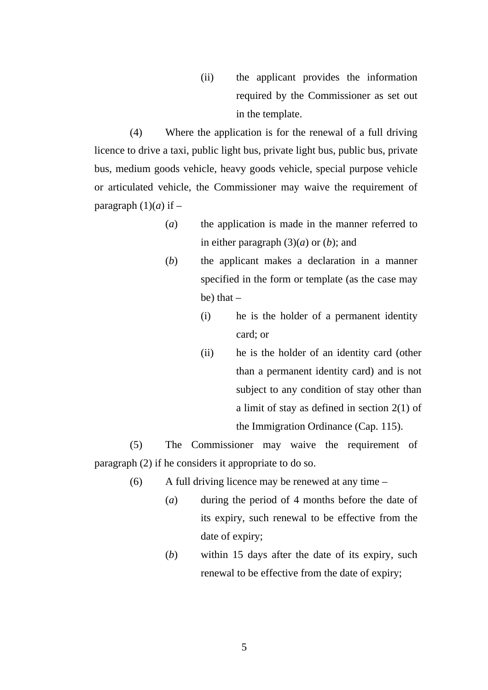(ii) the applicant provides the information required by the Commissioner as set out in the template.

(4) Where the application is for the renewal of a full driving licence to drive a taxi, public light bus, private light bus, public bus, private bus, medium goods vehicle, heavy goods vehicle, special purpose vehicle or articulated vehicle, the Commissioner may waive the requirement of paragraph  $(1)(a)$  if –

- (*a*) the application is made in the manner referred to in either paragraph  $(3)(a)$  or  $(b)$ ; and
- (*b*) the applicant makes a declaration in a manner specified in the form or template (as the case may be) that  $-$ 
	- (i) he is the holder of a permanent identity card; or
	- (ii) he is the holder of an identity card (other than a permanent identity card) and is not subject to any condition of stay other than a limit of stay as defined in section 2(1) of the Immigration Ordinance (Cap. 115).

(5) The Commissioner may waive the requirement of paragraph (2) if he considers it appropriate to do so.

- (6) A full driving licence may be renewed at any time
	- (*a*) during the period of 4 months before the date of its expiry, such renewal to be effective from the date of expiry;
	- (*b*) within 15 days after the date of its expiry, such renewal to be effective from the date of expiry;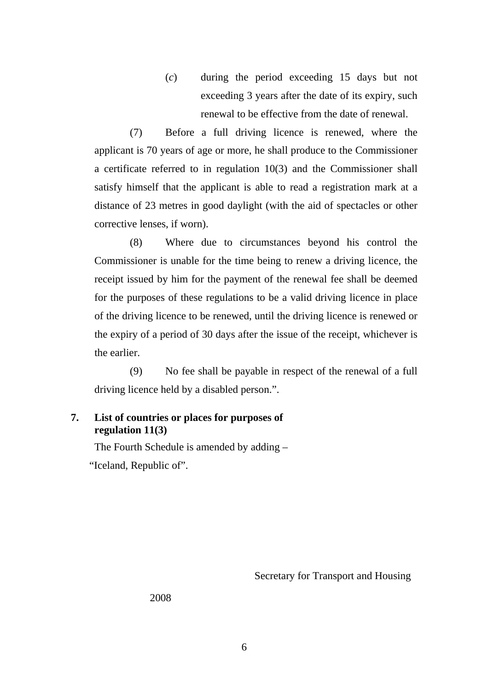(*c*) during the period exceeding 15 days but not exceeding 3 years after the date of its expiry, such renewal to be effective from the date of renewal.

(7) Before a full driving licence is renewed, where the applicant is 70 years of age or more, he shall produce to the Commissioner a certificate referred to in regulation 10(3) and the Commissioner shall satisfy himself that the applicant is able to read a registration mark at a distance of 23 metres in good daylight (with the aid of spectacles or other corrective lenses, if worn).

(8) Where due to circumstances beyond his control the Commissioner is unable for the time being to renew a driving licence, the receipt issued by him for the payment of the renewal fee shall be deemed for the purposes of these regulations to be a valid driving licence in place of the driving licence to be renewed, until the driving licence is renewed or the expiry of a period of 30 days after the issue of the receipt, whichever is the earlier.

(9) No fee shall be payable in respect of the renewal of a full driving licence held by a disabled person.".

### **7. List of countries or places for purposes of regulation 11(3)**

The Fourth Schedule is amended by adding –

"Iceland, Republic of".

Secretary for Transport and Housing

2008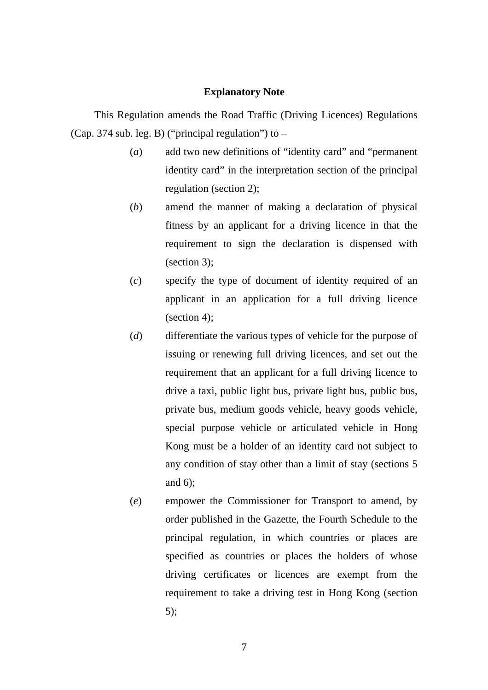#### **Explanatory Note**

This Regulation amends the Road Traffic (Driving Licences) Regulations (Cap. 374 sub. leg. B) ("principal regulation") to –

- (*a*) add two new definitions of "identity card" and "permanent identity card" in the interpretation section of the principal regulation (section 2);
- (*b*) amend the manner of making a declaration of physical fitness by an applicant for a driving licence in that the requirement to sign the declaration is dispensed with (section 3);
- (*c*) specify the type of document of identity required of an applicant in an application for a full driving licence (section 4);
- (*d*) differentiate the various types of vehicle for the purpose of issuing or renewing full driving licences, and set out the requirement that an applicant for a full driving licence to drive a taxi, public light bus, private light bus, public bus, private bus, medium goods vehicle, heavy goods vehicle, special purpose vehicle or articulated vehicle in Hong Kong must be a holder of an identity card not subject to any condition of stay other than a limit of stay (sections 5 and 6);
- (*e*) empower the Commissioner for Transport to amend, by order published in the Gazette, the Fourth Schedule to the principal regulation, in which countries or places are specified as countries or places the holders of whose driving certificates or licences are exempt from the requirement to take a driving test in Hong Kong (section 5);

7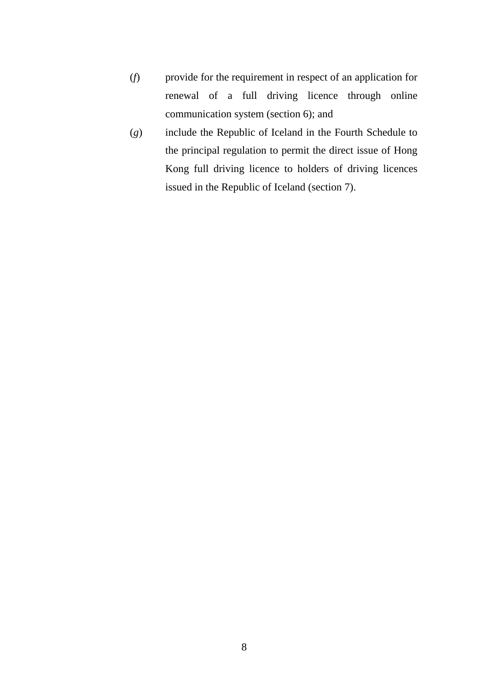- (*f*) provide for the requirement in respect of an application for renewal of a full driving licence through online communication system (section 6); and
- (*g*) include the Republic of Iceland in the Fourth Schedule to the principal regulation to permit the direct issue of Hong Kong full driving licence to holders of driving licences issued in the Republic of Iceland (section 7).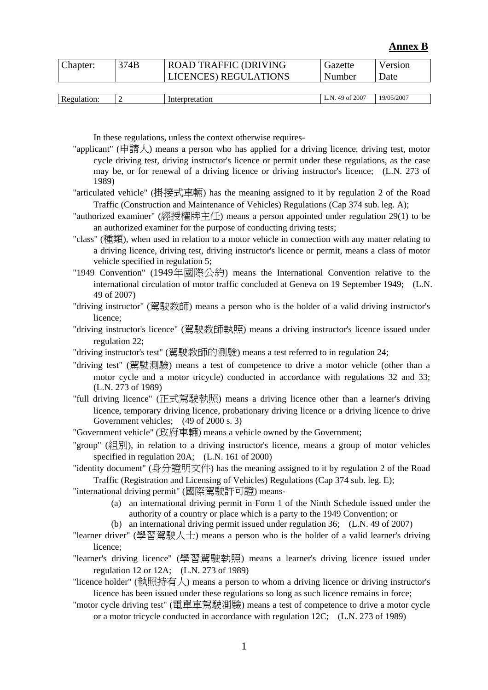#### **Annex B**

| Chapter: | 374B | <b>ROAD TRAFFIC (DRIVING</b> | Gazette | Version |
|----------|------|------------------------------|---------|---------|
|          |      | <b>LICENCES) REGULATIONS</b> | Number  | Date    |
|          |      |                              |         |         |

| Re<br>10222222 | - | .<br>танон | 2007<br>N<br>ΟĪ<br>. | <sup>3/05/2007</sup><br>19/05. |
|----------------|---|------------|----------------------|--------------------------------|
|                |   |            |                      |                                |

In these regulations, unless the context otherwise requires-

- "applicant" (申請人) means a person who has applied for a driving licence, driving test, motor cycle driving test, driving instructor's licence or permit under these regulations, as the case may be, or for renewal of a driving licence or driving instructor's licence; (L.N. 273 of 1989)
- "articulated vehicle" (掛接式車輛) has the meaning assigned to it by regulation 2 of the Road Traffic (Construction and Maintenance of Vehicles) Regulations (Cap 374 sub. leg. A);
- "authorized examiner" (經授權牌主任) means a person appointed under regulation 29(1) to be an authorized examiner for the purpose of conducting driving tests;
- "class" (種類), when used in relation to a motor vehicle in connection with any matter relating to a driving licence, driving test, driving instructor's licence or permit, means a class of motor vehicle specified in regulation 5;
- "1949 Convention" (1949年國際公約) means the International Convention relative to the international circulation of motor traffic concluded at Geneva on 19 September 1949; (L.N. 49 of 2007)
- "driving instructor" (駕駛教師) means a person who is the holder of a valid driving instructor's licence;
- "driving instructor's licence" (駕駛教師執照) means a driving instructor's licence issued under regulation 22;
- "driving instructor's test" (駕駛教師的測驗) means a test referred to in regulation 24;
- "driving test" (駕駛測驗) means a test of competence to drive a motor vehicle (other than a motor cycle and a motor tricycle) conducted in accordance with regulations 32 and 33; (L.N. 273 of 1989)
- "full driving licence" (正式駕駛執照) means a driving licence other than a learner's driving licence, temporary driving licence, probationary driving licence or a driving licence to drive Government vehicles; (49 of 2000 s. 3)
- "Government vehicle" (政府車輛) means a vehicle owned by the Government;
- "group" (組別), in relation to a driving instructor's licence, means a group of motor vehicles specified in regulation 20A; (L.N. 161 of 2000)
- "identity document" (身分證明文件) has the meaning assigned to it by regulation 2 of the Road Traffic (Registration and Licensing of Vehicles) Regulations (Cap 374 sub. leg. E);
- "international driving permit" (國際駕駛許可證) means-
	- (a) an international driving permit in Form 1 of the Ninth Schedule issued under the authority of a country or place which is a party to the 1949 Convention; or
	- (b) an international driving permit issued under regulation 36; (L.N. 49 of 2007)
- "learner driver" (學習駕駛人士) means a person who is the holder of a valid learner's driving licence;
- "learner's driving licence" (學習駕駛執照) means a learner's driving licence issued under regulation 12 or 12A; (L.N. 273 of 1989)
- "licence holder" (執照持有人) means a person to whom a driving licence or driving instructor's licence has been issued under these regulations so long as such licence remains in force;
- "motor cycle driving test" (電單車駕駛測驗) means a test of competence to drive a motor cycle or a motor tricycle conducted in accordance with regulation 12C; (L.N. 273 of 1989)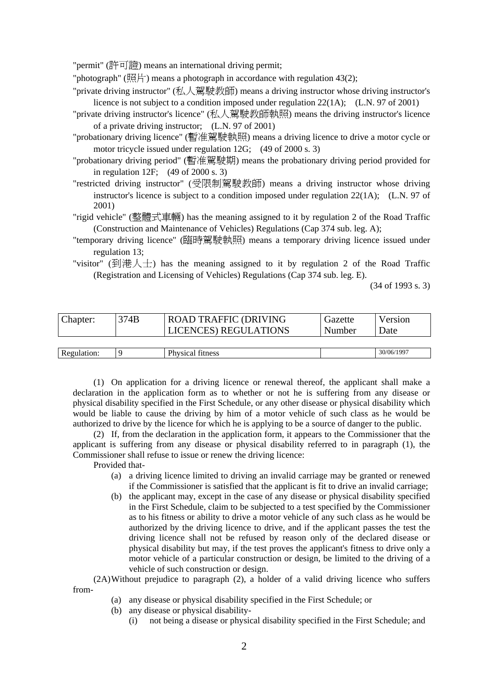"permit" (許可證) means an international driving permit;

"photograph" (照片) means a photograph in accordance with regulation 43(2);

- "private driving instructor" (私人駕駛教師) means a driving instructor whose driving instructor's licence is not subject to a condition imposed under regulation 22(1A); (L.N. 97 of 2001)
- "private driving instructor's licence" (私人駕駛教師執照) means the driving instructor's licence of a private driving instructor; (L.N. 97 of 2001)
- "probationary driving licence" (暫准駕駛執照) means a driving licence to drive a motor cycle or motor tricycle issued under regulation 12G; (49 of 2000 s. 3)
- "probationary driving period" (暫准駕駛期) means the probationary driving period provided for in regulation 12F;  $(49 \text{ of } 2000 \text{ s. } 3)$
- "restricted driving instructor" (受限制駕駛教師) means a driving instructor whose driving instructor's licence is subject to a condition imposed under regulation 22(1A); (L.N. 97 of 2001)
- "rigid vehicle" (整體式車輛) has the meaning assigned to it by regulation 2 of the Road Traffic (Construction and Maintenance of Vehicles) Regulations (Cap 374 sub. leg. A);
- "temporary driving licence" (臨時駕駛執照) means a temporary driving licence issued under regulation 13;
- "visitor" (到港人士) has the meaning assigned to it by regulation 2 of the Road Traffic (Registration and Licensing of Vehicles) Regulations (Cap 374 sub. leg. E).

(34 of 1993 s. 3)

| Chapter:    | 374B | <b>ROAD TRAFFIC (DRIVING</b> | Gazette | Version     |
|-------------|------|------------------------------|---------|-------------|
|             |      | <b>LICENCES) REGULATIONS</b> | Number  | <b>Date</b> |
|             |      |                              |         |             |
| Regulation: |      | <b>Physical fitness</b>      |         | 30/06/1997  |

(1) On application for a driving licence or renewal thereof, the applicant shall make a declaration in the application form as to whether or not he is suffering from any disease or physical disability specified in the First Schedule, or any other disease or physical disability which would be liable to cause the driving by him of a motor vehicle of such class as he would be authorized to drive by the licence for which he is applying to be a source of danger to the public.

(2) If, from the declaration in the application form, it appears to the Commissioner that the applicant is suffering from any disease or physical disability referred to in paragraph (1), the Commissioner shall refuse to issue or renew the driving licence:

Provided that-

- (a) a driving licence limited to driving an invalid carriage may be granted or renewed if the Commissioner is satisfied that the applicant is fit to drive an invalid carriage;
- (b) the applicant may, except in the case of any disease or physical disability specified in the First Schedule, claim to be subjected to a test specified by the Commissioner as to his fitness or ability to drive a motor vehicle of any such class as he would be authorized by the driving licence to drive, and if the applicant passes the test the driving licence shall not be refused by reason only of the declared disease or physical disability but may, if the test proves the applicant's fitness to drive only a motor vehicle of a particular construction or design, be limited to the driving of a vehicle of such construction or design.

(2A) Without prejudice to paragraph (2), a holder of a valid driving licence who suffers from-

- (a) any disease or physical disability specified in the First Schedule; or
- (b) any disease or physical disability-
	- (i) not being a disease or physical disability specified in the First Schedule; and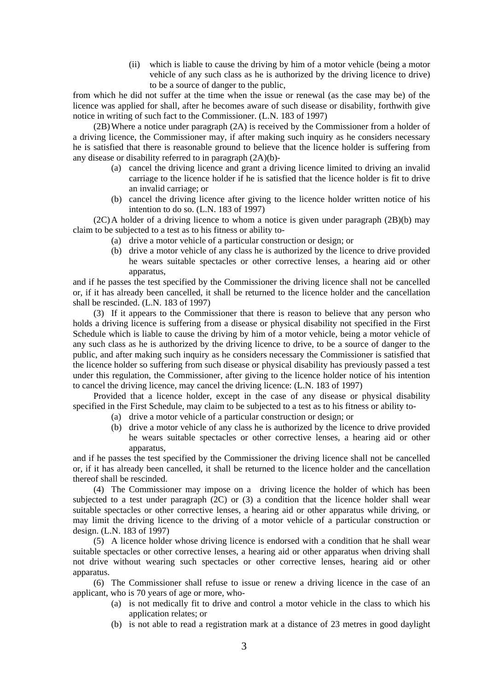(ii) which is liable to cause the driving by him of a motor vehicle (being a motor vehicle of any such class as he is authorized by the driving licence to drive) to be a source of danger to the public,

from which he did not suffer at the time when the issue or renewal (as the case may be) of the licence was applied for shall, after he becomes aware of such disease or disability, forthwith give notice in writing of such fact to the Commissioner. (L.N. 183 of 1997)

(2B) Where a notice under paragraph (2A) is received by the Commissioner from a holder of a driving licence, the Commissioner may, if after making such inquiry as he considers necessary he is satisfied that there is reasonable ground to believe that the licence holder is suffering from any disease or disability referred to in paragraph (2A)(b)-

- (a) cancel the driving licence and grant a driving licence limited to driving an invalid carriage to the licence holder if he is satisfied that the licence holder is fit to drive an invalid carriage; or
- (b) cancel the driving licence after giving to the licence holder written notice of his intention to do so. (L.N. 183 of 1997)

(2C) A holder of a driving licence to whom a notice is given under paragraph (2B)(b) may claim to be subjected to a test as to his fitness or ability to-

- (a) drive a motor vehicle of a particular construction or design; or
- (b) drive a motor vehicle of any class he is authorized by the licence to drive provided he wears suitable spectacles or other corrective lenses, a hearing aid or other apparatus,

and if he passes the test specified by the Commissioner the driving licence shall not be cancelled or, if it has already been cancelled, it shall be returned to the licence holder and the cancellation shall be rescinded. (L.N. 183 of 1997)

(3) If it appears to the Commissioner that there is reason to believe that any person who holds a driving licence is suffering from a disease or physical disability not specified in the First Schedule which is liable to cause the driving by him of a motor vehicle, being a motor vehicle of any such class as he is authorized by the driving licence to drive, to be a source of danger to the public, and after making such inquiry as he considers necessary the Commissioner is satisfied that the licence holder so suffering from such disease or physical disability has previously passed a test under this regulation, the Commissioner, after giving to the licence holder notice of his intention to cancel the driving licence, may cancel the driving licence: (L.N. 183 of 1997)

Provided that a licence holder, except in the case of any disease or physical disability specified in the First Schedule, may claim to be subjected to a test as to his fitness or ability to-

- (a) drive a motor vehicle of a particular construction or design; or
- (b) drive a motor vehicle of any class he is authorized by the licence to drive provided he wears suitable spectacles or other corrective lenses, a hearing aid or other apparatus,

and if he passes the test specified by the Commissioner the driving licence shall not be cancelled or, if it has already been cancelled, it shall be returned to the licence holder and the cancellation thereof shall be rescinded.

(4) The Commissioner may impose on a driving licence the holder of which has been subjected to a test under paragraph (2C) or (3) a condition that the licence holder shall wear suitable spectacles or other corrective lenses, a hearing aid or other apparatus while driving, or may limit the driving licence to the driving of a motor vehicle of a particular construction or design. (L.N. 183 of 1997)

(5) A licence holder whose driving licence is endorsed with a condition that he shall wear suitable spectacles or other corrective lenses, a hearing aid or other apparatus when driving shall not drive without wearing such spectacles or other corrective lenses, hearing aid or other apparatus.

(6) The Commissioner shall refuse to issue or renew a driving licence in the case of an applicant, who is 70 years of age or more, who-

- (a) is not medically fit to drive and control a motor vehicle in the class to which his application relates; or
- (b) is not able to read a registration mark at a distance of 23 metres in good daylight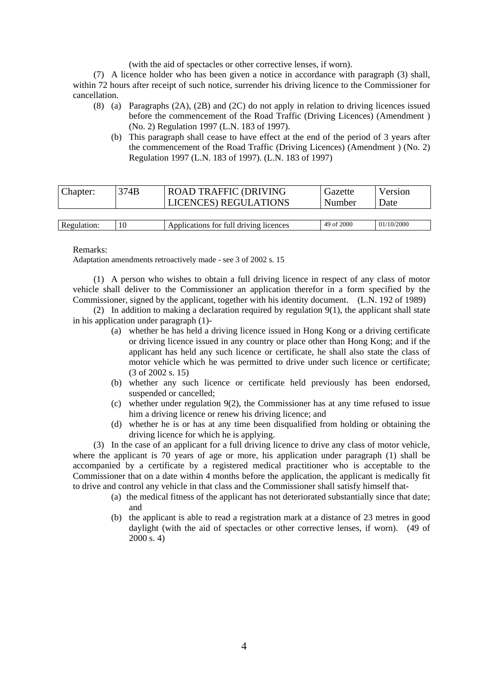(with the aid of spectacles or other corrective lenses, if worn).

(7) A licence holder who has been given a notice in accordance with paragraph (3) shall, within 72 hours after receipt of such notice, surrender his driving licence to the Commissioner for cancellation.

- (8) (a) Paragraphs (2A), (2B) and (2C) do not apply in relation to driving licences issued before the commencement of the Road Traffic (Driving Licences) (Amendment ) (No. 2) Regulation 1997 (L.N. 183 of 1997).
	- (b) This paragraph shall cease to have effect at the end of the period of 3 years after the commencement of the Road Traffic (Driving Licences) (Amendment ) (No. 2) Regulation 1997 (L.N. 183 of 1997). (L.N. 183 of 1997)

| Chapter:    | 374B | <b>ROAD TRAFFIC (DRIVING</b><br><b>LICENCES) REGULATIONS</b> | Gazette<br>Number | Version<br><b>Date</b> |
|-------------|------|--------------------------------------------------------------|-------------------|------------------------|
|             |      |                                                              |                   |                        |
| Regulation: |      | Applications for full driving licences                       | 49 of 2000        | 01/10/2000             |

#### Remarks:

Adaptation amendments retroactively made - see 3 of 2002 s. 15

(1) A person who wishes to obtain a full driving licence in respect of any class of motor vehicle shall deliver to the Commissioner an application therefor in a form specified by the Commissioner, signed by the applicant, together with his identity document. (L.N. 192 of 1989)

(2) In addition to making a declaration required by regulation 9(1), the applicant shall state in his application under paragraph (1)-

- (a) whether he has held a driving licence issued in Hong Kong or a driving certificate or driving licence issued in any country or place other than Hong Kong; and if the applicant has held any such licence or certificate, he shall also state the class of motor vehicle which he was permitted to drive under such licence or certificate; (3 of 2002 s. 15)
- (b) whether any such licence or certificate held previously has been endorsed, suspended or cancelled;
- (c) whether under regulation 9(2), the Commissioner has at any time refused to issue him a driving licence or renew his driving licence; and
- (d) whether he is or has at any time been disqualified from holding or obtaining the driving licence for which he is applying.

(3) In the case of an applicant for a full driving licence to drive any class of motor vehicle, where the applicant is 70 years of age or more, his application under paragraph (1) shall be accompanied by a certificate by a registered medical practitioner who is acceptable to the Commissioner that on a date within 4 months before the application, the applicant is medically fit to drive and control any vehicle in that class and the Commissioner shall satisfy himself that-

- (a) the medical fitness of the applicant has not deteriorated substantially since that date; and
- (b) the applicant is able to read a registration mark at a distance of 23 metres in good daylight (with the aid of spectacles or other corrective lenses, if worn). (49 of 2000 s. 4)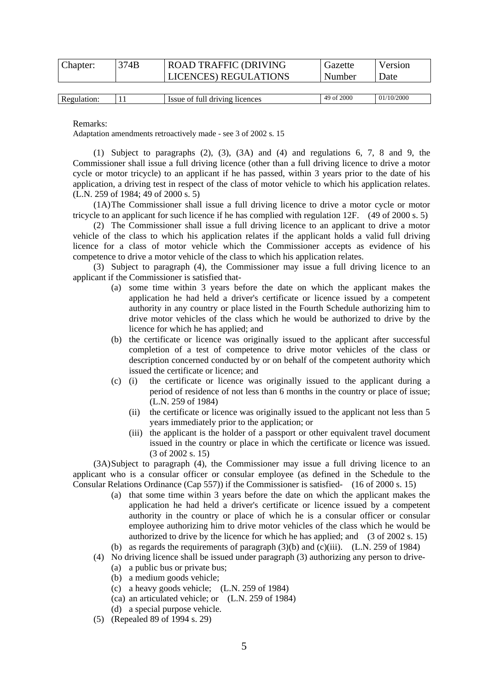| Chapter: | 374B | <b>ROAD TRAFFIC (DRIVING</b> | Gazette | Version |
|----------|------|------------------------------|---------|---------|
|          |      | <b>LICENCES) REGULATIONS</b> | Number  | Date    |
|          |      |                              |         |         |

| Regulation: | . . | ΟĪ<br>. driving<br>full<br>licences<br>Issue | 2000<br>49 of | (10/2000)<br>01 |
|-------------|-----|----------------------------------------------|---------------|-----------------|
|             |     |                                              |               |                 |

Remarks:

Adaptation amendments retroactively made - see 3 of 2002 s. 15

(1) Subject to paragraphs (2), (3), (3A) and (4) and regulations 6, 7, 8 and 9, the Commissioner shall issue a full driving licence (other than a full driving licence to drive a motor cycle or motor tricycle) to an applicant if he has passed, within 3 years prior to the date of his application, a driving test in respect of the class of motor vehicle to which his application relates. (L.N. 259 of 1984; 49 of 2000 s. 5)

(1A) The Commissioner shall issue a full driving licence to drive a motor cycle or motor tricycle to an applicant for such licence if he has complied with regulation 12F. (49 of 2000 s. 5)

(2) The Commissioner shall issue a full driving licence to an applicant to drive a motor vehicle of the class to which his application relates if the applicant holds a valid full driving licence for a class of motor vehicle which the Commissioner accepts as evidence of his competence to drive a motor vehicle of the class to which his application relates.

(3) Subject to paragraph (4), the Commissioner may issue a full driving licence to an applicant if the Commissioner is satisfied that-

- (a) some time within 3 years before the date on which the applicant makes the application he had held a driver's certificate or licence issued by a competent authority in any country or place listed in the Fourth Schedule authorizing him to drive motor vehicles of the class which he would be authorized to drive by the licence for which he has applied; and
- (b) the certificate or licence was originally issued to the applicant after successful completion of a test of competence to drive motor vehicles of the class or description concerned conducted by or on behalf of the competent authority which issued the certificate or licence; and
- (c) (i) the certificate or licence was originally issued to the applicant during a period of residence of not less than 6 months in the country or place of issue; (L.N. 259 of 1984)
	- (ii) the certificate or licence was originally issued to the applicant not less than 5 years immediately prior to the application; or
	- (iii) the applicant is the holder of a passport or other equivalent travel document issued in the country or place in which the certificate or licence was issued. (3 of 2002 s. 15)

(3A) Subject to paragraph (4), the Commissioner may issue a full driving licence to an applicant who is a consular officer or consular employee (as defined in the Schedule to the Consular Relations Ordinance (Cap 557)) if the Commissioner is satisfied- (16 of 2000 s. 15)

- (a) that some time within 3 years before the date on which the applicant makes the application he had held a driver's certificate or licence issued by a competent authority in the country or place of which he is a consular officer or consular employee authorizing him to drive motor vehicles of the class which he would be authorized to drive by the licence for which he has applied; and  $(3 \text{ of } 2002 \text{ s. } 15)$ (b) as regards the requirements of paragraph  $(3)(b)$  and  $(c)(iii)$ . (L.N. 259 of 1984)
- 
- (4) No driving licence shall be issued under paragraph (3) authorizing any person to drive-
	- (a) a public bus or private bus;
	- (b) a medium goods vehicle;
	- (c) a heavy goods vehicle; (L.N. 259 of 1984)
	- (ca) an articulated vehicle; or (L.N. 259 of 1984)
	- (d) a special purpose vehicle.
- (5) (Repealed 89 of 1994 s. 29)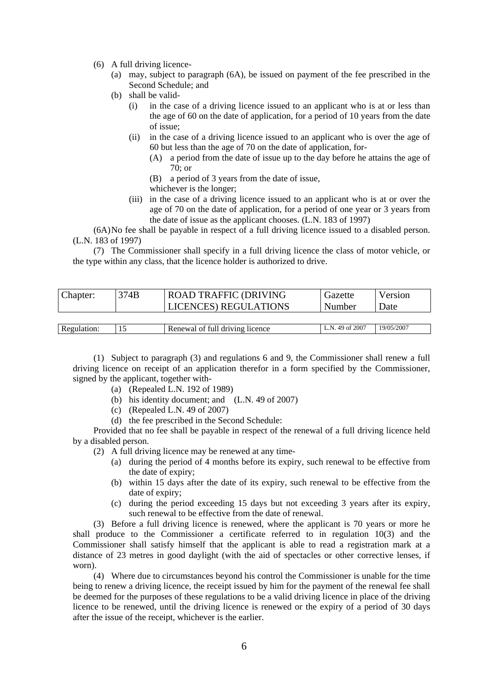- (6) A full driving licence-
	- (a) may, subject to paragraph (6A), be issued on payment of the fee prescribed in the Second Schedule; and
	- (b) shall be valid-
		- (i) in the case of a driving licence issued to an applicant who is at or less than the age of 60 on the date of application, for a period of 10 years from the date of issue;
		- (ii) in the case of a driving licence issued to an applicant who is over the age of 60 but less than the age of 70 on the date of application, for-
			- (A) a period from the date of issue up to the day before he attains the age of 70; or
			- (B) a period of 3 years from the date of issue,
			- whichever is the longer;
		- (iii) in the case of a driving licence issued to an applicant who is at or over the age of 70 on the date of application, for a period of one year or 3 years from the date of issue as the applicant chooses. (L.N. 183 of 1997)

(6A) No fee shall be payable in respect of a full driving licence issued to a disabled person. (L.N. 183 of 1997)

(7) The Commissioner shall specify in a full driving licence the class of motor vehicle, or the type within any class, that the licence holder is authorized to drive.

| Chapter:    | 374B | <b>ROAD TRAFFIC (DRIVING</b><br><b>LICENCES) REGULATIONS</b> | Gazette<br>Number | Version<br>Date |
|-------------|------|--------------------------------------------------------------|-------------------|-----------------|
|             |      |                                                              |                   |                 |
| Regulation: |      | Renewal of full driving licence                              | L.N. 49 of 2007   | 19/05/2007      |

(1) Subject to paragraph (3) and regulations 6 and 9, the Commissioner shall renew a full driving licence on receipt of an application therefor in a form specified by the Commissioner, signed by the applicant, together with-

- (a) (Repealed L.N. 192 of 1989)
- (b) his identity document; and (L.N. 49 of 2007)
- (c) (Repealed L.N. 49 of 2007)
- (d) the fee prescribed in the Second Schedule:

Provided that no fee shall be payable in respect of the renewal of a full driving licence held by a disabled person.

- (2) A full driving licence may be renewed at any time-
	- (a) during the period of 4 months before its expiry, such renewal to be effective from the date of expiry;
	- (b) within 15 days after the date of its expiry, such renewal to be effective from the date of expiry;
	- (c) during the period exceeding 15 days but not exceeding 3 years after its expiry, such renewal to be effective from the date of renewal.

(3) Before a full driving licence is renewed, where the applicant is 70 years or more he shall produce to the Commissioner a certificate referred to in regulation 10(3) and the Commissioner shall satisfy himself that the applicant is able to read a registration mark at a distance of 23 metres in good daylight (with the aid of spectacles or other corrective lenses, if worn).

(4) Where due to circumstances beyond his control the Commissioner is unable for the time being to renew a driving licence, the receipt issued by him for the payment of the renewal fee shall be deemed for the purposes of these regulations to be a valid driving licence in place of the driving licence to be renewed, until the driving licence is renewed or the expiry of a period of 30 days after the issue of the receipt, whichever is the earlier.